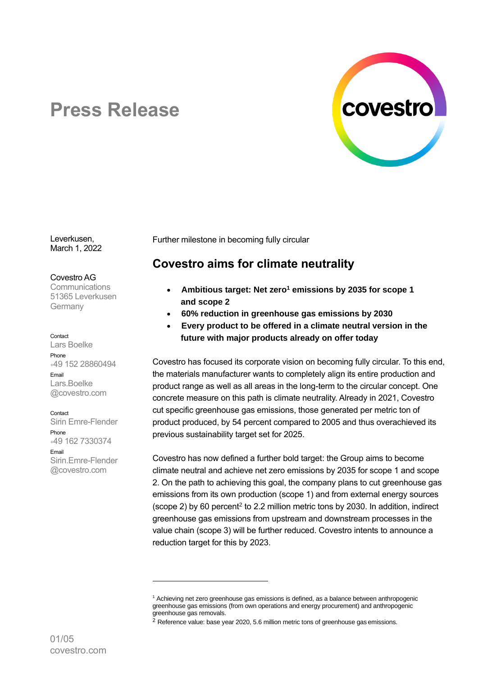

# **Press Release**

Leverkusen, March 1, 2022

Covestro AG

**Communications** 51365 Leverkusen Germany

#### Contact

Lars Boelke Phone <sup>+</sup>49 152 28860494 Email Lars.Boelke @covestro.com

Contact

Sirin Emre-Flender Phone <sup>+</sup>49 162 7330374 Email Sirin.Emre-Flender @covestro.com

Further milestone in becoming fully circular

# **Covestro aims for climate neutrality**

- **Ambitious target: Net zero<sup>1</sup> emissions by 2035 for scope 1 and scope 2**
- **60% reduction in greenhouse gas emissions by 2030**
- **Every product to be offered in a climate neutral version in the future with major products already on offer today**

Covestro has focused its corporate vision on becoming fully circular. To this end, the materials manufacturer wants to completely align its entire production and product range as well as all areas in the long-term to the circular concept. One concrete measure on this path is climate neutrality. Already in 2021, Covestro cut specific greenhouse gas emissions, those generated per metric ton of product produced, by 54 percent compared to 2005 and thus overachieved its previous sustainability target set for 2025.

Covestro has now defined a further bold target: the Group aims to become climate neutral and achieve net zero emissions by 2035 for scope 1 and scope 2. On the path to achieving this goal, the company plans to cut greenhouse gas emissions from its own production (scope 1) and from external energy sources  $(scope 2)$  by 60 percent<sup>2</sup> to 2.2 million metric tons by 2030. In addition, indirect greenhouse gas emissions from upstream and downstream processes in the value chain (scope 3) will be further reduced. Covestro intents to announce a reduction target for this by 2023.

<sup>1</sup> Achieving net zero greenhouse gas emissions is defined, as a balance between anthropogenic greenhouse gas emissions (from own operations and energy procurement) and anthropogenic greenhouse gas removals.

<sup>2</sup> Reference value: base year 2020, 5.6 million metric tons of greenhouse gas emissions.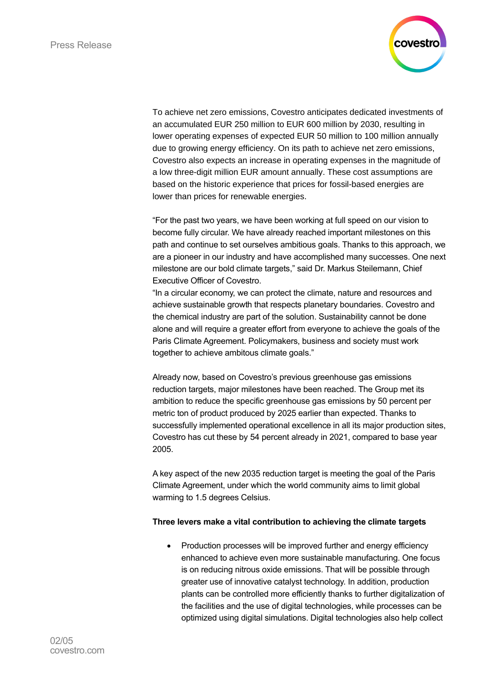

To achieve net zero emissions, Covestro anticipates dedicated investments of an accumulated EUR 250 million to EUR 600 million by 2030, resulting in lower operating expenses of expected EUR 50 million to 100 million annually due to growing energy efficiency. On its path to achieve net zero emissions, Covestro also expects an increase in operating expenses in the magnitude of a low three-digit million EUR amount annually. These cost assumptions are based on the historic experience that prices for fossil-based energies are lower than prices for renewable energies.

"For the past two years, we have been working at full speed on our vision to become fully circular. We have already reached important milestones on this path and continue to set ourselves ambitious goals. Thanks to this approach, we are a pioneer in our industry and have accomplished many successes. One next milestone are our bold climate targets," said Dr. Markus Steilemann, Chief Executive Officer of Covestro.

"In a circular economy, we can protect the climate, nature and resources and achieve sustainable growth that respects planetary boundaries. Covestro and the chemical industry are part of the solution. Sustainability cannot be done alone and will require a greater effort from everyone to achieve the goals of the Paris Climate Agreement. Policymakers, business and society must work together to achieve ambitous climate goals."

Already now, based on Covestro's previous greenhouse gas emissions reduction targets, major milestones have been reached. The Group met its ambition to reduce the specific greenhouse gas emissions by 50 percent per metric ton of product produced by 2025 earlier than expected. Thanks to successfully implemented operational excellence in all its major production sites, Covestro has cut these by 54 percent already in 2021, compared to base year 2005.

A key aspect of the new 2035 reduction target is meeting the goal of the Paris Climate Agreement, under which the world community aims to limit global warming to 1.5 degrees Celsius.

### **Three levers make a vital contribution to achieving the climate targets**

• Production processes will be improved further and energy efficiency enhanced to achieve even more sustainable manufacturing. One focus is on reducing nitrous oxide emissions. That will be possible through greater use of innovative catalyst technology. In addition, production plants can be controlled more efficiently thanks to further digitalization of the facilities and the use of digital technologies, while processes can be optimized using digital simulations. Digital technologies also help collect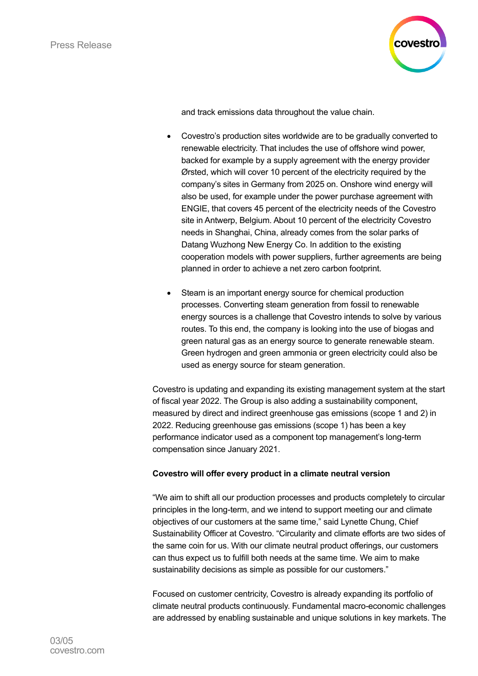

and track emissions data throughout the value chain.

- Covestro's production sites worldwide are to be gradually converted to renewable electricity. That includes the use of offshore wind power, backed for example by a supply agreement with the energy provider Ørsted, which will cover 10 percent of the electricity required by the company's sites in Germany from 2025 on. Onshore wind energy will also be used, for example under the power purchase agreement with ENGIE, that covers 45 percent of the electricity needs of the Covestro site in Antwerp, Belgium. About 10 percent of the electricity Covestro needs in Shanghai, China, already comes from the solar parks of Datang Wuzhong New Energy Co. In addition to the existing cooperation models with power suppliers, further agreements are being planned in order to achieve a net zero carbon footprint.
- Steam is an important energy source for chemical production processes. Converting steam generation from fossil to renewable energy sources is a challenge that Covestro intends to solve by various routes. To this end, the company is looking into the use of biogas and green natural gas as an energy source to generate renewable steam. Green hydrogen and green ammonia or green electricity could also be used as energy source for steam generation.

Covestro is updating and expanding its existing management system at the start of fiscal year 2022. The Group is also adding a sustainability component, measured by direct and indirect greenhouse gas emissions (scope 1 and 2) in 2022. Reducing greenhouse gas emissions (scope 1) has been a key performance indicator used as a component top management's long-term compensation since January 2021.

### **Covestro will offer every product in a climate neutral version**

"We aim to shift all our production processes and products completely to circular principles in the long-term, and we intend to support meeting our and climate objectives of our customers at the same time," said Lynette Chung, Chief Sustainability Officer at Covestro. "Circularity and climate efforts are two sides of the same coin for us. With our climate neutral product offerings, our customers can thus expect us to fulfill both needs at the same time. We aim to make sustainability decisions as simple as possible for our customers."

Focused on customer centricity, Covestro is already expanding its portfolio of climate neutral products continuously. Fundamental macro-economic challenges are addressed by enabling sustainable and unique solutions in key markets. The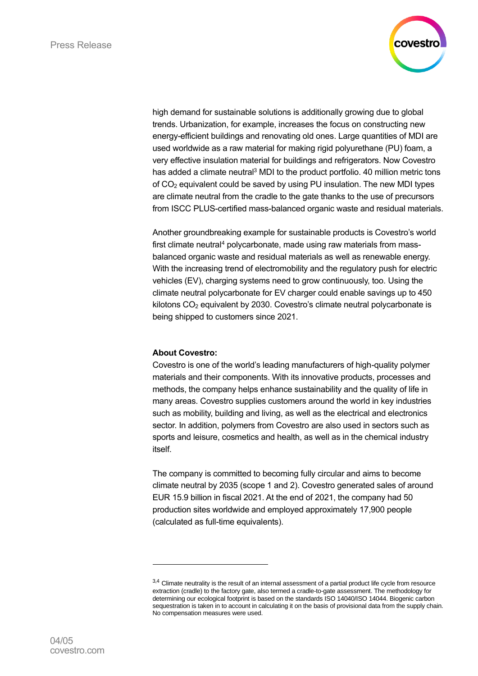

high demand for sustainable solutions is additionally growing due to global trends. Urbanization, for example, increases the focus on constructing new energy-efficient buildings and renovating old ones. Large quantities of MDI are used worldwide as a raw material for making rigid polyurethane (PU) foam, a very effective insulation material for buildings and refrigerators. Now Covestro has added a climate neutral<sup>3</sup> MDI to the product portfolio. 40 million metric tons of  $CO<sub>2</sub>$  equivalent could be saved by using PU insulation. The new MDI types are climate neutral from the cradle to the gate thanks to the use of precursors from ISCC PLUS-certified mass-balanced organic waste and residual materials.

Another groundbreaking example for sustainable products is Covestro's world first climate neutral<sup>4</sup> polycarbonate, made using raw materials from massbalanced organic waste and residual materials as well as renewable energy. With the increasing trend of electromobility and the regulatory push for electric vehicles (EV), charging systems need to grow continuously, too. Using the climate neutral polycarbonate for EV charger could enable savings up to 450 kilotons CO<sub>2</sub> equivalent by 2030. Covestro's climate neutral polycarbonate is being shipped to customers since 2021.

### **About Covestro:**

Covestro is one of the world's leading manufacturers of high-quality polymer materials and their components. With its innovative products, processes and methods, the company helps enhance sustainability and the quality of life in many areas. Covestro supplies customers around the world in key industries such as mobility, building and living, as well as the electrical and electronics sector. In addition, polymers from Covestro are also used in sectors such as sports and leisure, cosmetics and health, as well as in the chemical industry itself.

The company is committed to becoming fully circular and aims to become climate neutral by 2035 (scope 1 and 2). Covestro generated sales of around EUR 15.9 billion in fiscal 2021. At the end of 2021, the company had 50 production sites worldwide and employed approximately 17,900 people (calculated as full-time equivalents).

<sup>3,4</sup> Climate neutrality is the result of an internal assessment of a partial product life cycle from resource extraction (cradle) to the factory gate, also termed a cradle-to-gate assessment. The methodology for determining our ecological footprint is based on the standards ISO 14040/ISO 14044. Biogenic carbon sequestration is taken in to account in calculating it on the basis of provisional data from the supply chain. No compensation measures were used.